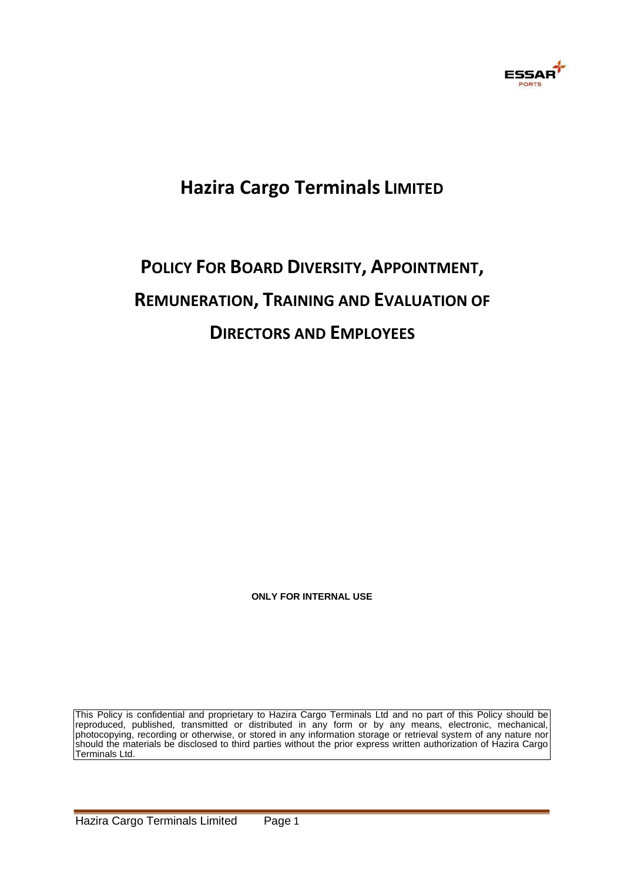

## **Hazira Cargo Terminals LIMITED**

# **POLICY FOR BOARD DIVERSITY, APPOINTMENT, REMUNERATION, TRAINING AND EVALUATION OF DIRECTORS AND EMPLOYEES**

**ONLY FOR INTERNAL USE** 

This Policy is confidential and proprietary to Hazira Cargo Terminals Ltd and no part of this Policy should be reproduced, published, transmitted or distributed in any form or by any means, electronic, mechanical, photocopying, recording or otherwise, or stored in any information storage or retrieval system of any nature nor should the materials be disclosed to third parties without the prior express written authorization of Hazira Cargo Terminals Ltd.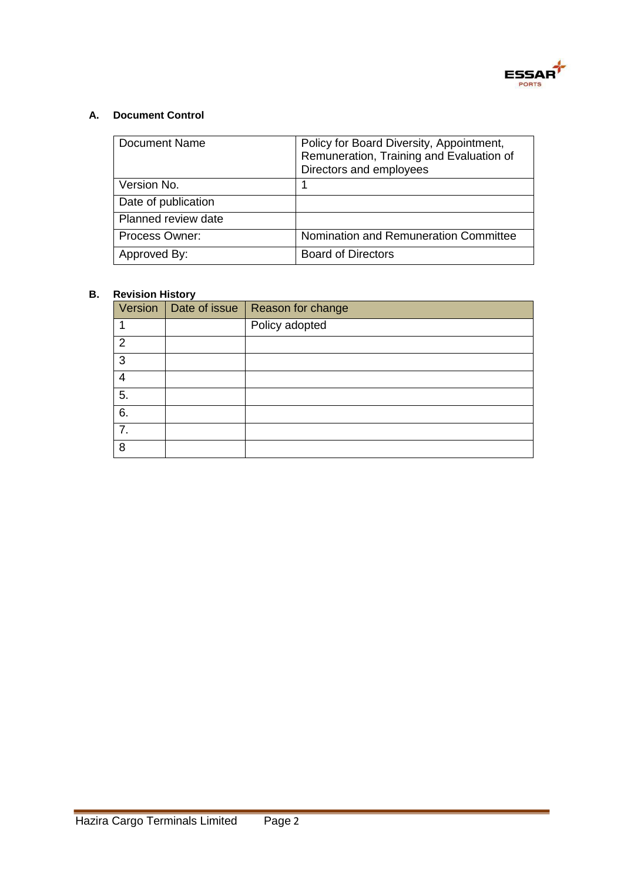

### **A. Document Control**

| Document Name       | Policy for Board Diversity, Appointment,<br>Remuneration, Training and Evaluation of<br>Directors and employees |
|---------------------|-----------------------------------------------------------------------------------------------------------------|
| Version No.         |                                                                                                                 |
| Date of publication |                                                                                                                 |
| Planned review date |                                                                                                                 |
| Process Owner:      | Nomination and Remuneration Committee                                                                           |
| Approved By:        | <b>Board of Directors</b>                                                                                       |

### **B. Revision History**

| Version        | Date of issue   Reason for change |
|----------------|-----------------------------------|
|                | Policy adopted                    |
| $\overline{2}$ |                                   |
| 3              |                                   |
| 4              |                                   |
| 5.             |                                   |
| 6.             |                                   |
| 7.             |                                   |
| 8              |                                   |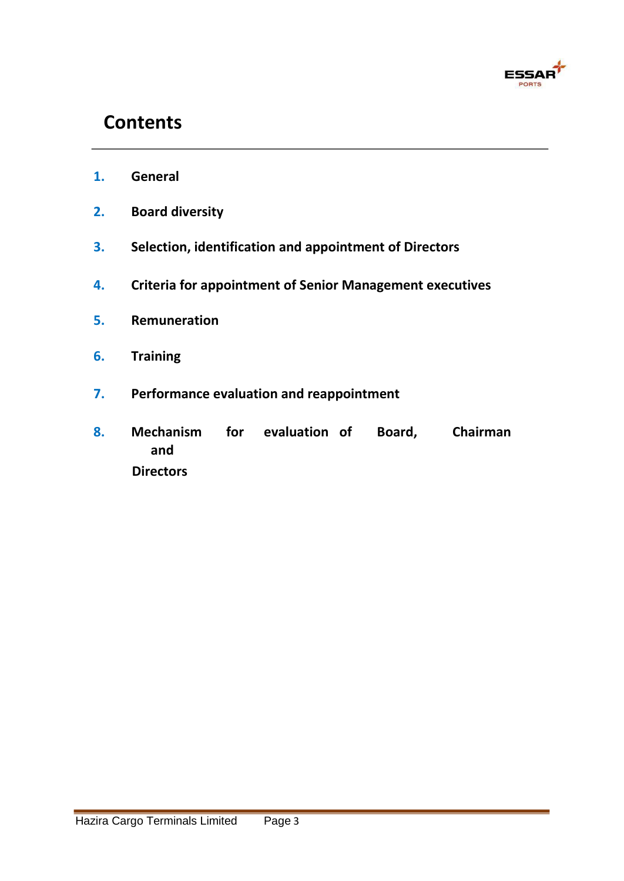

## **Contents**

- **1. General**
- **2. Board diversity**
- **3. Selection, identification and appointment of Directors**
- **4. Criteria for appointment of Senior Management executives**
- **5. Remuneration**
- **6. Training**
- **7. Performance evaluation and reappointment**
- **8. Mechanism for evaluation of Board, Chairman and Directors**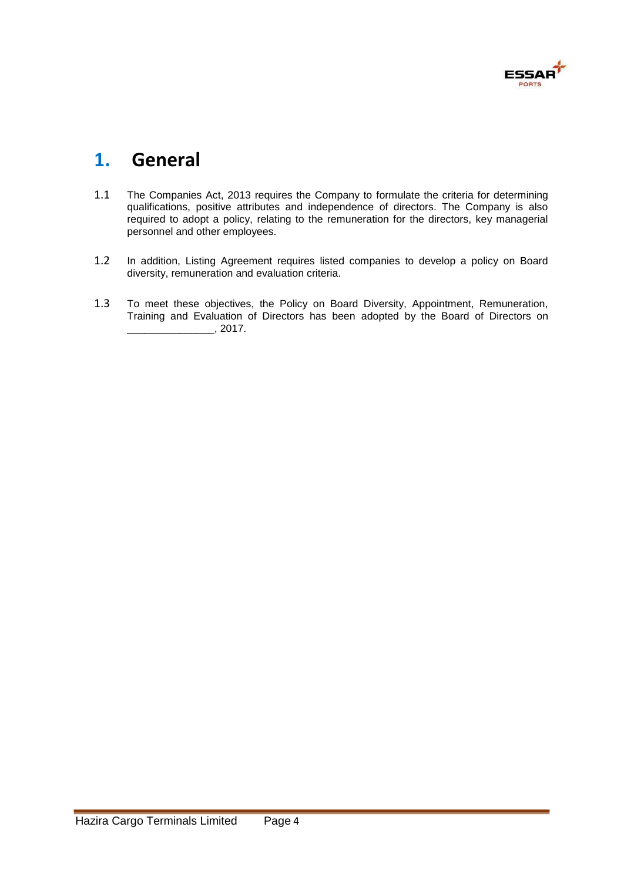

## **1. General**

- 1.1 The Companies Act, 2013 requires the Company to formulate the criteria for determining qualifications, positive attributes and independence of directors. The Company is also required to adopt a policy, relating to the remuneration for the directors, key managerial personnel and other employees.
- 1.2 In addition, Listing Agreement requires listed companies to develop a policy on Board diversity, remuneration and evaluation criteria.
- 1.3 To meet these objectives, the Policy on Board Diversity, Appointment, Remuneration, Training and Evaluation of Directors has been adopted by the Board of Directors on  $2017.$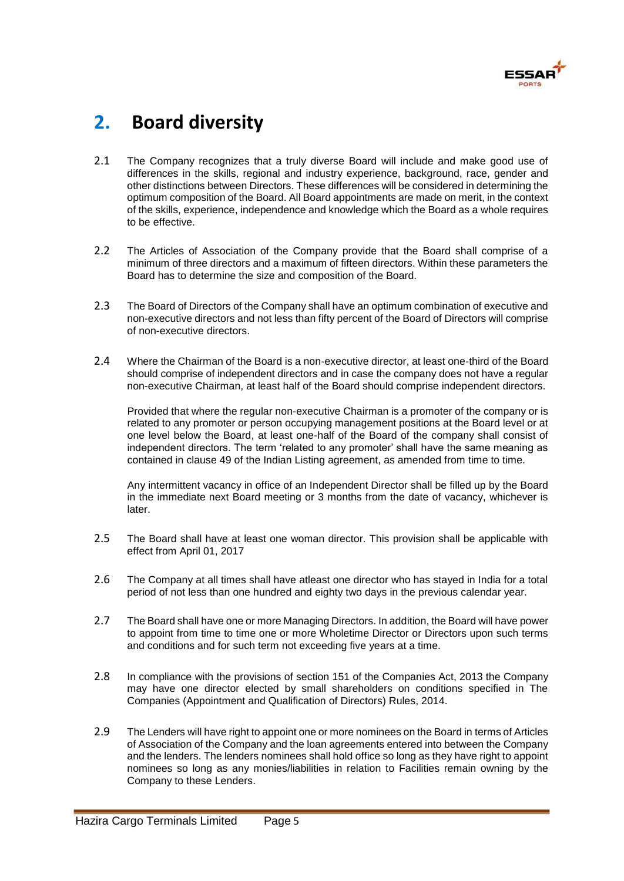

## **2. Board diversity**

- 2.1 The Company recognizes that a truly diverse Board will include and make good use of differences in the skills, regional and industry experience, background, race, gender and other distinctions between Directors. These differences will be considered in determining the optimum composition of the Board. All Board appointments are made on merit, in the context of the skills, experience, independence and knowledge which the Board as a whole requires to be effective.
- 2.2 The Articles of Association of the Company provide that the Board shall comprise of a minimum of three directors and a maximum of fifteen directors. Within these parameters the Board has to determine the size and composition of the Board.
- 2.3 The Board of Directors of the Company shall have an optimum combination of executive and non-executive directors and not less than fifty percent of the Board of Directors will comprise of non-executive directors.
- 2.4 Where the Chairman of the Board is a non-executive director, at least one-third of the Board should comprise of independent directors and in case the company does not have a regular non-executive Chairman, at least half of the Board should comprise independent directors.

Provided that where the regular non-executive Chairman is a promoter of the company or is related to any promoter or person occupying management positions at the Board level or at one level below the Board, at least one-half of the Board of the company shall consist of independent directors. The term 'related to any promoter' shall have the same meaning as contained in clause 49 of the Indian Listing agreement, as amended from time to time.

Any intermittent vacancy in office of an Independent Director shall be filled up by the Board in the immediate next Board meeting or 3 months from the date of vacancy, whichever is later.

- 2.5 The Board shall have at least one woman director. This provision shall be applicable with effect from April 01, 2017
- 2.6 The Company at all times shall have atleast one director who has stayed in India for a total period of not less than one hundred and eighty two days in the previous calendar year.
- 2.7 The Board shall have one or more Managing Directors. In addition, the Board will have power to appoint from time to time one or more Wholetime Director or Directors upon such terms and conditions and for such term not exceeding five years at a time.
- 2.8 In compliance with the provisions of section 151 of the Companies Act, 2013 the Company may have one director elected by small shareholders on conditions specified in The Companies (Appointment and Qualification of Directors) Rules, 2014.
- 2.9 The Lenders will have right to appoint one or more nominees on the Board in terms of Articles of Association of the Company and the loan agreements entered into between the Company and the lenders. The lenders nominees shall hold office so long as they have right to appoint nominees so long as any monies/liabilities in relation to Facilities remain owning by the Company to these Lenders.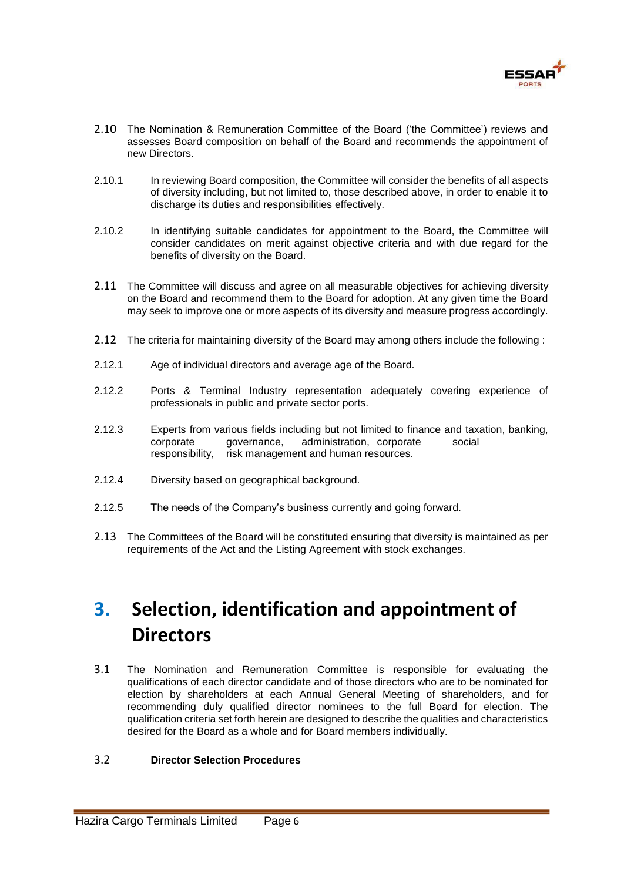

- 2.10 The Nomination & Remuneration Committee of the Board ('the Committee') reviews and assesses Board composition on behalf of the Board and recommends the appointment of new Directors.
- 2.10.1 In reviewing Board composition, the Committee will consider the benefits of all aspects of diversity including, but not limited to, those described above, in order to enable it to discharge its duties and responsibilities effectively.
- 2.10.2 In identifying suitable candidates for appointment to the Board, the Committee will consider candidates on merit against objective criteria and with due regard for the benefits of diversity on the Board.
- 2.11 The Committee will discuss and agree on all measurable objectives for achieving diversity on the Board and recommend them to the Board for adoption. At any given time the Board may seek to improve one or more aspects of its diversity and measure progress accordingly.
- 2.12 The criteria for maintaining diversity of the Board may among others include the following :
- 2.12.1 Age of individual directors and average age of the Board.
- 2.12.2 Ports & Terminal Industry representation adequately covering experience of professionals in public and private sector ports.
- 2.12.3 Experts from various fields including but not limited to finance and taxation, banking, corporate governance, administration, corporate social responsibility, risk management and human resources.
- 2.12.4 Diversity based on geographical background.
- 2.12.5 The needs of the Company's business currently and going forward.
- 2.13 The Committees of the Board will be constituted ensuring that diversity is maintained as per requirements of the Act and the Listing Agreement with stock exchanges.

## **3. Selection, identification and appointment of Directors**

3.1 The Nomination and Remuneration Committee is responsible for evaluating the qualifications of each director candidate and of those directors who are to be nominated for election by shareholders at each Annual General Meeting of shareholders, and for recommending duly qualified director nominees to the full Board for election. The qualification criteria set forth herein are designed to describe the qualities and characteristics desired for the Board as a whole and for Board members individually.

#### 3.2 **Director Selection Procedures**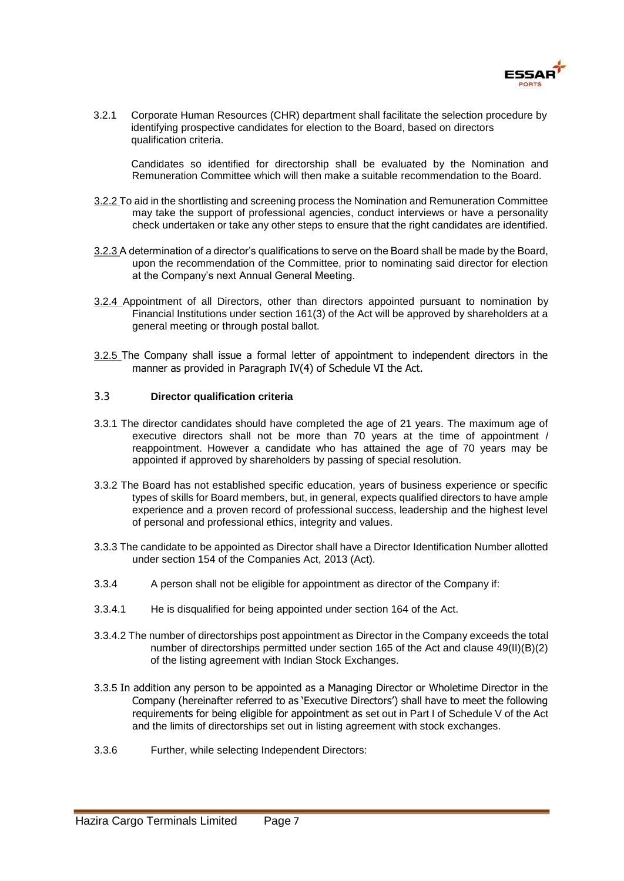

3.2.1 Corporate Human Resources (CHR) department shall facilitate the selection procedure by identifying prospective candidates for election to the Board, based on directors qualification criteria.

Candidates so identified for directorship shall be evaluated by the Nomination and Remuneration Committee which will then make a suitable recommendation to the Board.

- 3.2.2 To aid in the shortlisting and screening process the Nomination and Remuneration Committee may take the support of professional agencies, conduct interviews or have a personality check undertaken or take any other steps to ensure that the right candidates are identified.
- 3.2.3 A determination of a director's qualifications to serve on the Board shall be made by the Board, upon the recommendation of the Committee, prior to nominating said director for election at the Company's next Annual General Meeting.
- 3.2.4 Appointment of all Directors, other than directors appointed pursuant to nomination by Financial Institutions under section 161(3) of the Act will be approved by shareholders at a general meeting or through postal ballot.
- 3.2.5 The Company shall issue a formal letter of appointment to independent directors in the manner as provided in Paragraph IV(4) of Schedule VI the Act.

#### 3.3 **Director qualification criteria**

- 3.3.1 The director candidates should have completed the age of 21 years. The maximum age of executive directors shall not be more than 70 years at the time of appointment / reappointment. However a candidate who has attained the age of 70 years may be appointed if approved by shareholders by passing of special resolution.
- 3.3.2 The Board has not established specific education, years of business experience or specific types of skills for Board members, but, in general, expects qualified directors to have ample experience and a proven record of professional success, leadership and the highest level of personal and professional ethics, integrity and values.
- 3.3.3 The candidate to be appointed as Director shall have a Director Identification Number allotted under section 154 of the Companies Act, 2013 (Act).
- 3.3.4 A person shall not be eligible for appointment as director of the Company if:
- 3.3.4.1 He is disqualified for being appointed under section 164 of the Act.
- 3.3.4.2 The number of directorships post appointment as Director in the Company exceeds the total number of directorships permitted under section 165 of the Act and clause 49(II)(B)(2) of the listing agreement with Indian Stock Exchanges.
- 3.3.5 In addition any person to be appointed as a Managing Director or Wholetime Director in the Company (hereinafter referred to as 'Executive Directors') shall have to meet the following requirements for being eligible for appointment as set out in Part I of Schedule V of the Act and the limits of directorships set out in listing agreement with stock exchanges.
- 3.3.6 Further, while selecting Independent Directors: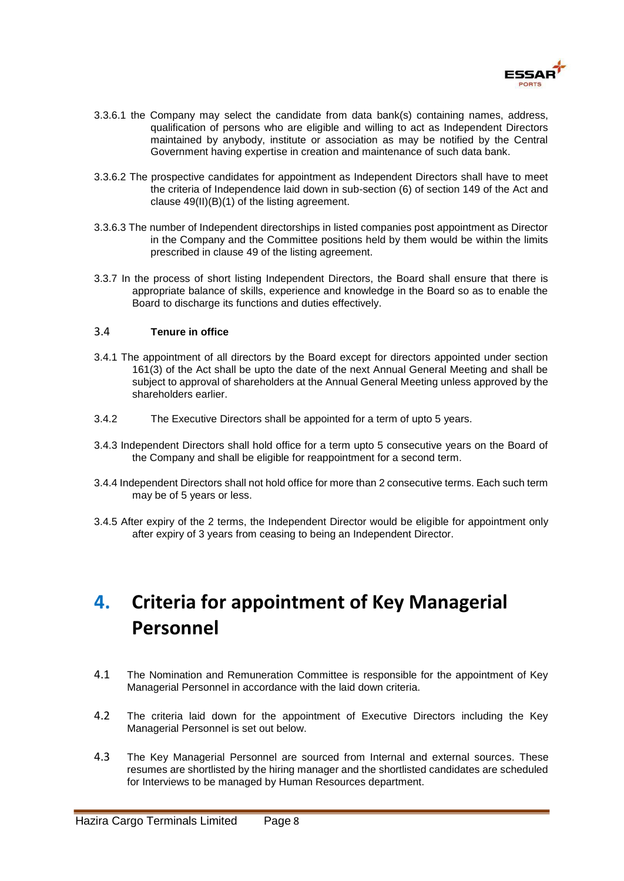

- 3.3.6.1 the Company may select the candidate from data bank(s) containing names, address, qualification of persons who are eligible and willing to act as Independent Directors maintained by anybody, institute or association as may be notified by the Central Government having expertise in creation and maintenance of such data bank.
- 3.3.6.2 The prospective candidates for appointment as Independent Directors shall have to meet the criteria of Independence laid down in sub-section (6) of section 149 of the Act and clause 49(II)(B)(1) of the listing agreement.
- 3.3.6.3 The number of Independent directorships in listed companies post appointment as Director in the Company and the Committee positions held by them would be within the limits prescribed in clause 49 of the listing agreement.
- 3.3.7 In the process of short listing Independent Directors, the Board shall ensure that there is appropriate balance of skills, experience and knowledge in the Board so as to enable the Board to discharge its functions and duties effectively.

#### 3.4 **Tenure in office**

- 3.4.1 The appointment of all directors by the Board except for directors appointed under section 161(3) of the Act shall be upto the date of the next Annual General Meeting and shall be subject to approval of shareholders at the Annual General Meeting unless approved by the shareholders earlier.
- 3.4.2 The Executive Directors shall be appointed for a term of upto 5 years.
- 3.4.3 Independent Directors shall hold office for a term upto 5 consecutive years on the Board of the Company and shall be eligible for reappointment for a second term.
- 3.4.4 Independent Directors shall not hold office for more than 2 consecutive terms. Each such term may be of 5 years or less.
- 3.4.5 After expiry of the 2 terms, the Independent Director would be eligible for appointment only after expiry of 3 years from ceasing to being an Independent Director.

## **4. Criteria for appointment of Key Managerial Personnel**

- 4.1 The Nomination and Remuneration Committee is responsible for the appointment of Key Managerial Personnel in accordance with the laid down criteria.
- 4.2 The criteria laid down for the appointment of Executive Directors including the Key Managerial Personnel is set out below.
- 4.3 The Key Managerial Personnel are sourced from Internal and external sources. These resumes are shortlisted by the hiring manager and the shortlisted candidates are scheduled for Interviews to be managed by Human Resources department.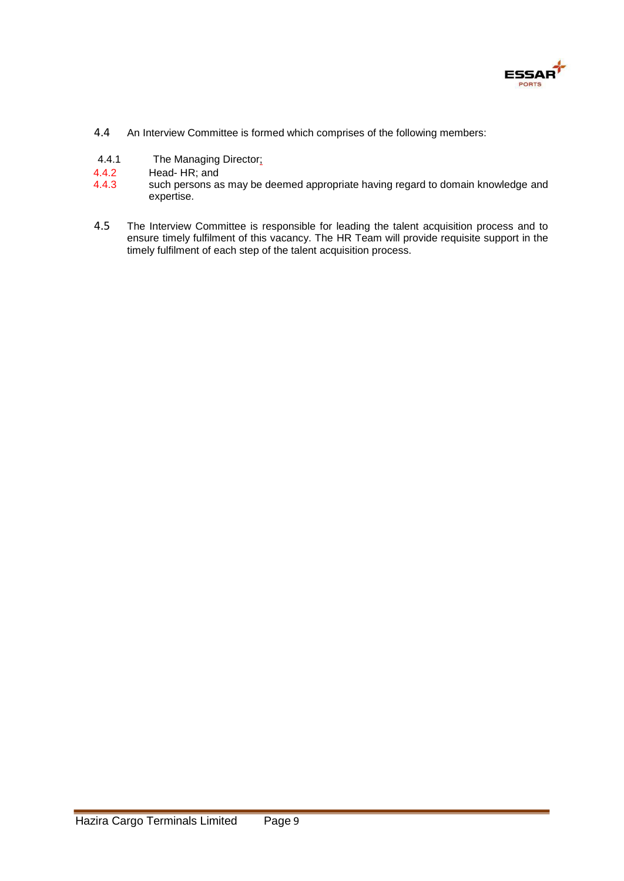

- 4.4 An Interview Committee is formed which comprises of the following members:
- 4.4.1 The Managing Director;
- 4.4.2 Head- HR; and
- 4.4.3 such persons as may be deemed appropriate having regard to domain knowledge and expertise.
- 4.5 The Interview Committee is responsible for leading the talent acquisition process and to ensure timely fulfilment of this vacancy. The HR Team will provide requisite support in the timely fulfilment of each step of the talent acquisition process.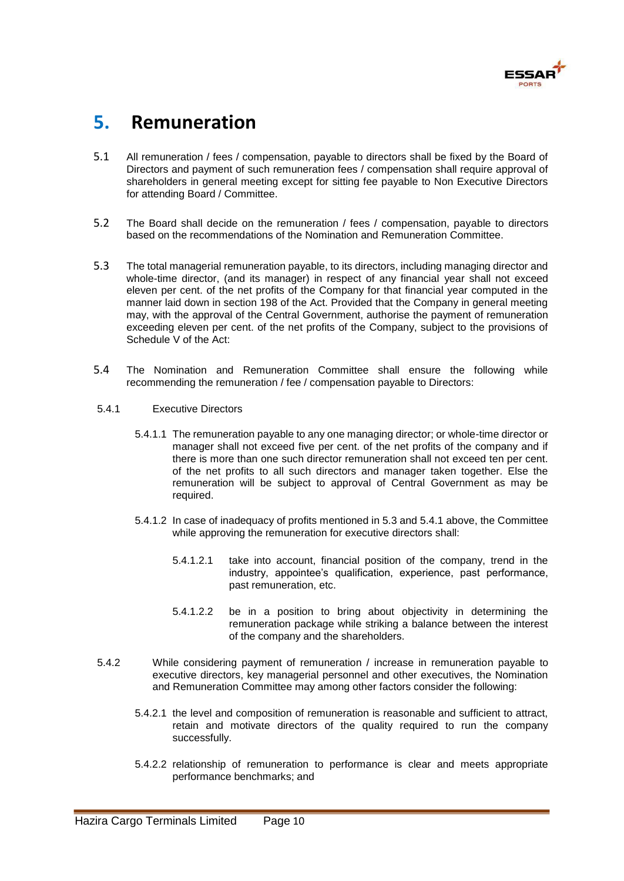

## **5. Remuneration**

- 5.1 All remuneration / fees / compensation, payable to directors shall be fixed by the Board of Directors and payment of such remuneration fees / compensation shall require approval of shareholders in general meeting except for sitting fee payable to Non Executive Directors for attending Board / Committee.
- 5.2 The Board shall decide on the remuneration / fees / compensation, payable to directors based on the recommendations of the Nomination and Remuneration Committee.
- 5.3 The total managerial remuneration payable, to its directors, including managing director and whole-time director, (and its manager) in respect of any financial year shall not exceed eleven per cent. of the net profits of the Company for that financial year computed in the manner laid down in section 198 of the Act. Provided that the Company in general meeting may, with the approval of the Central Government, authorise the payment of remuneration exceeding eleven per cent. of the net profits of the Company, subject to the provisions of Schedule V of the Act:
- 5.4 The Nomination and Remuneration Committee shall ensure the following while recommending the remuneration / fee / compensation payable to Directors:
- 5.4.1 Executive Directors
	- 5.4.1.1 The remuneration payable to any one managing director; or whole-time director or manager shall not exceed five per cent. of the net profits of the company and if there is more than one such director remuneration shall not exceed ten per cent. of the net profits to all such directors and manager taken together. Else the remuneration will be subject to approval of Central Government as may be required.
	- 5.4.1.2 In case of inadequacy of profits mentioned in 5.3 and 5.4.1 above, the Committee while approving the remuneration for executive directors shall:
		- 5.4.1.2.1 take into account, financial position of the company, trend in the industry, appointee's qualification, experience, past performance, past remuneration, etc.
		- 5.4.1.2.2 be in a position to bring about objectivity in determining the remuneration package while striking a balance between the interest of the company and the shareholders.
- 5.4.2 While considering payment of remuneration / increase in remuneration payable to executive directors, key managerial personnel and other executives, the Nomination and Remuneration Committee may among other factors consider the following:
	- 5.4.2.1 the level and composition of remuneration is reasonable and sufficient to attract, retain and motivate directors of the quality required to run the company successfully.
	- 5.4.2.2 relationship of remuneration to performance is clear and meets appropriate performance benchmarks; and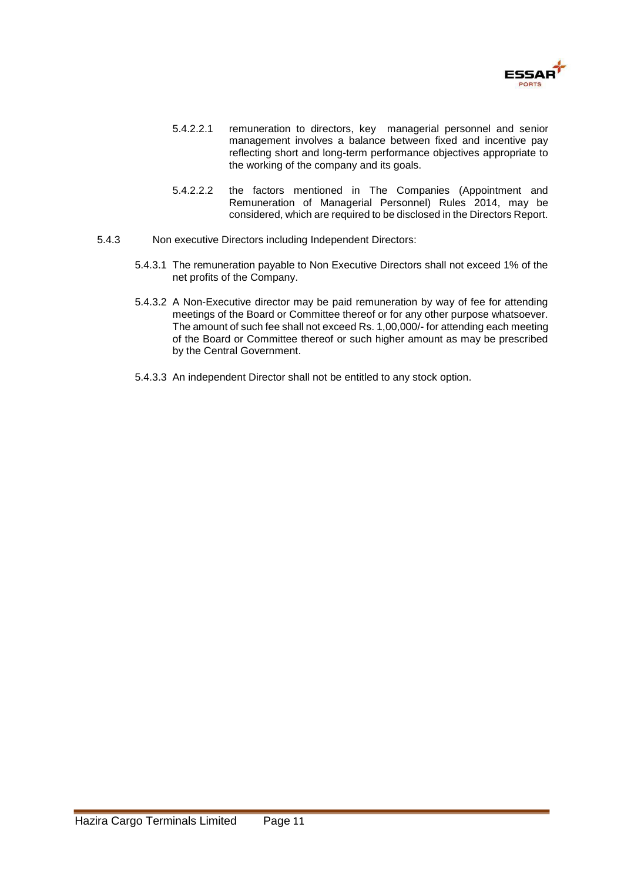

- 5.4.2.2.1 remuneration to directors, key managerial personnel and senior management involves a balance between fixed and incentive pay reflecting short and long-term performance objectives appropriate to the working of the company and its goals.
- 5.4.2.2.2 the factors mentioned in The Companies (Appointment and Remuneration of Managerial Personnel) Rules 2014, may be considered, which are required to be disclosed in the Directors Report.
- 5.4.3 Non executive Directors including Independent Directors:
	- 5.4.3.1 The remuneration payable to Non Executive Directors shall not exceed 1% of the net profits of the Company.
	- 5.4.3.2 A Non-Executive director may be paid remuneration by way of fee for attending meetings of the Board or Committee thereof or for any other purpose whatsoever. The amount of such fee shall not exceed Rs. 1,00,000/- for attending each meeting of the Board or Committee thereof or such higher amount as may be prescribed by the Central Government.
	- 5.4.3.3 An independent Director shall not be entitled to any stock option.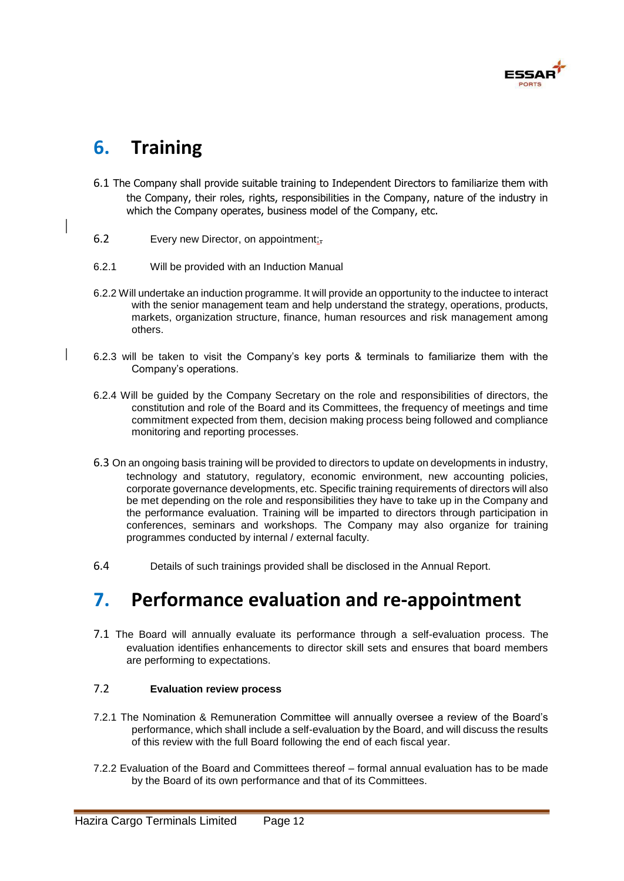

## **6. Training**

- 6.1 The Company shall provide suitable training to Independent Directors to familiarize them with the Company, their roles, rights, responsibilities in the Company, nature of the industry in which the Company operates, business model of the Company, etc.
- 6.2 Every new Director, on appointment:,
- 6.2.1 Will be provided with an Induction Manual
- 6.2.2 Will undertake an induction programme. It will provide an opportunity to the inductee to interact with the senior management team and help understand the strategy, operations, products, markets, organization structure, finance, human resources and risk management among others.
- 6.2.3 will be taken to visit the Company's key ports & terminals to familiarize them with the Company's operations.
- 6.2.4 Will be guided by the Company Secretary on the role and responsibilities of directors, the constitution and role of the Board and its Committees, the frequency of meetings and time commitment expected from them, decision making process being followed and compliance monitoring and reporting processes.
- 6.3 On an ongoing basis training will be provided to directors to update on developments in industry, technology and statutory, regulatory, economic environment, new accounting policies, corporate governance developments, etc. Specific training requirements of directors will also be met depending on the role and responsibilities they have to take up in the Company and the performance evaluation. Training will be imparted to directors through participation in conferences, seminars and workshops. The Company may also organize for training programmes conducted by internal / external faculty.
- 6.4 Details of such trainings provided shall be disclosed in the Annual Report.

## **7. Performance evaluation and re-appointment**

7.1 The Board will annually evaluate its performance through a self-evaluation process. The evaluation identifies enhancements to director skill sets and ensures that board members are performing to expectations.

#### 7.2 **Evaluation review process**

- 7.2.1 The Nomination & Remuneration Committee will annually oversee a review of the Board's performance, which shall include a self-evaluation by the Board, and will discuss the results of this review with the full Board following the end of each fiscal year.
- 7.2.2 Evaluation of the Board and Committees thereof formal annual evaluation has to be made by the Board of its own performance and that of its Committees.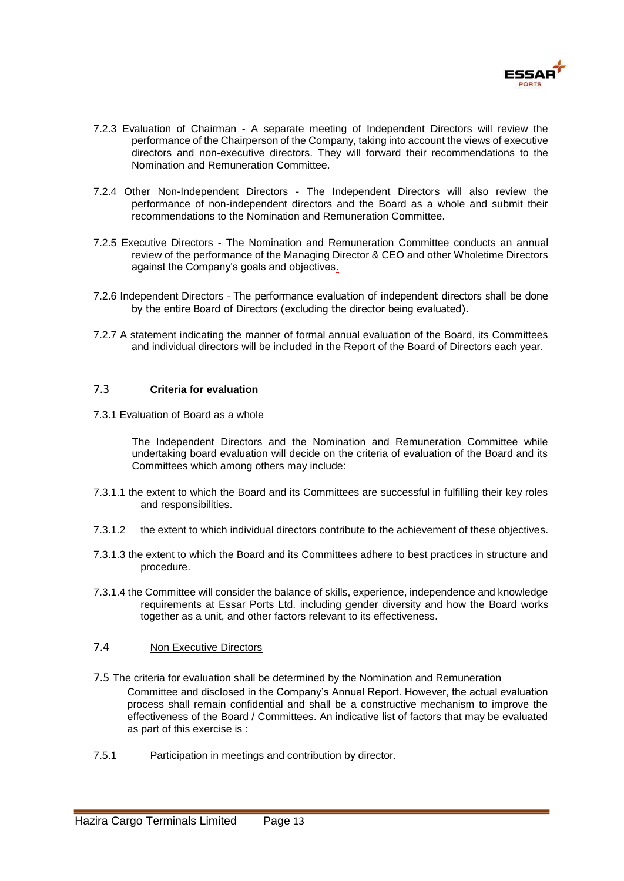

- 7.2.3 Evaluation of Chairman A separate meeting of Independent Directors will review the performance of the Chairperson of the Company, taking into account the views of executive directors and non-executive directors. They will forward their recommendations to the Nomination and Remuneration Committee.
- 7.2.4 Other Non-Independent Directors The Independent Directors will also review the performance of non-independent directors and the Board as a whole and submit their recommendations to the Nomination and Remuneration Committee.
- 7.2.5 Executive Directors The Nomination and Remuneration Committee conducts an annual review of the performance of the Managing Director & CEO and other Wholetime Directors against the Company's goals and objectives.
- 7.2.6 Independent Directors The performance evaluation of independent directors shall be done by the entire Board of Directors (excluding the director being evaluated).
- 7.2.7 A statement indicating the manner of formal annual evaluation of the Board, its Committees and individual directors will be included in the Report of the Board of Directors each year.

#### 7.3 **Criteria for evaluation**

7.3.1 Evaluation of Board as a whole

The Independent Directors and the Nomination and Remuneration Committee while undertaking board evaluation will decide on the criteria of evaluation of the Board and its Committees which among others may include:

- 7.3.1.1 the extent to which the Board and its Committees are successful in fulfilling their key roles and responsibilities.
- 7.3.1.2 the extent to which individual directors contribute to the achievement of these objectives.
- 7.3.1.3 the extent to which the Board and its Committees adhere to best practices in structure and procedure.
- 7.3.1.4 the Committee will consider the balance of skills, experience, independence and knowledge requirements at Essar Ports Ltd. including gender diversity and how the Board works together as a unit, and other factors relevant to its effectiveness.

#### 7.4 Non Executive Directors

- 7.5 The criteria for evaluation shall be determined by the Nomination and Remuneration Committee and disclosed in the Company's Annual Report. However, the actual evaluation process shall remain confidential and shall be a constructive mechanism to improve the effectiveness of the Board / Committees. An indicative list of factors that may be evaluated as part of this exercise is :
- 7.5.1 Participation in meetings and contribution by director.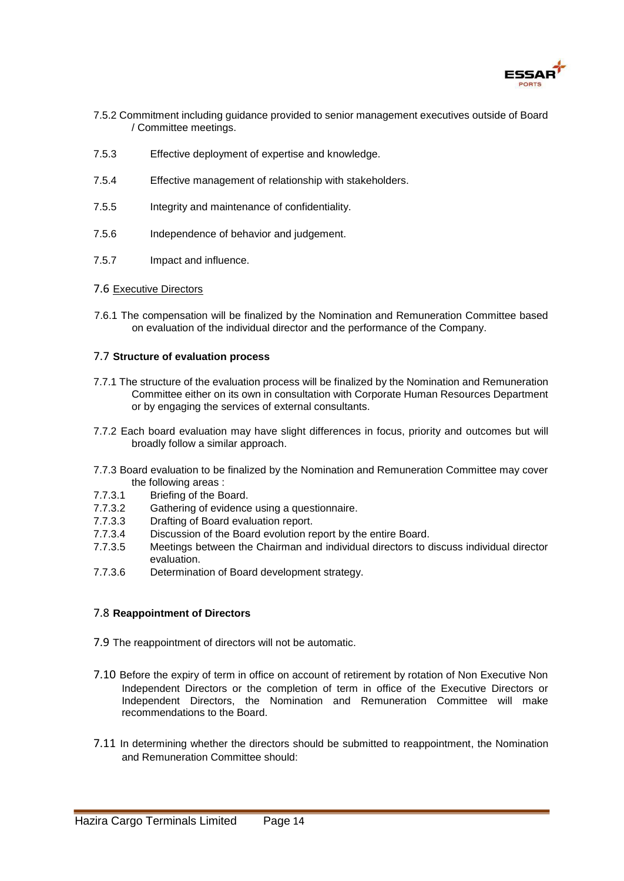

- 7.5.2 Commitment including guidance provided to senior management executives outside of Board / Committee meetings.
- 7.5.3 Effective deployment of expertise and knowledge.
- 7.5.4 Effective management of relationship with stakeholders.
- 7.5.5 Integrity and maintenance of confidentiality.
- 7.5.6 Independence of behavior and judgement.
- 7.5.7 Impact and influence.
- 7.6 Executive Directors
- 7.6.1 The compensation will be finalized by the Nomination and Remuneration Committee based on evaluation of the individual director and the performance of the Company.

#### 7.7 **Structure of evaluation process**

- 7.7.1 The structure of the evaluation process will be finalized by the Nomination and Remuneration Committee either on its own in consultation with Corporate Human Resources Department or by engaging the services of external consultants.
- 7.7.2 Each board evaluation may have slight differences in focus, priority and outcomes but will broadly follow a similar approach.
- 7.7.3 Board evaluation to be finalized by the Nomination and Remuneration Committee may cover the following areas :
- 7.7.3.1 Briefing of the Board.
- 7.7.3.2 Gathering of evidence using a questionnaire.
- 7.7.3.3 Drafting of Board evaluation report.
- 7.7.3.4 Discussion of the Board evolution report by the entire Board.
- 7.7.3.5 Meetings between the Chairman and individual directors to discuss individual director evaluation.
- 7.7.3.6 Determination of Board development strategy.

#### 7.8 **Reappointment of Directors**

- 7.9 The reappointment of directors will not be automatic.
- 7.10 Before the expiry of term in office on account of retirement by rotation of Non Executive Non Independent Directors or the completion of term in office of the Executive Directors or Independent Directors, the Nomination and Remuneration Committee will make recommendations to the Board.
- 7.11 In determining whether the directors should be submitted to reappointment, the Nomination and Remuneration Committee should: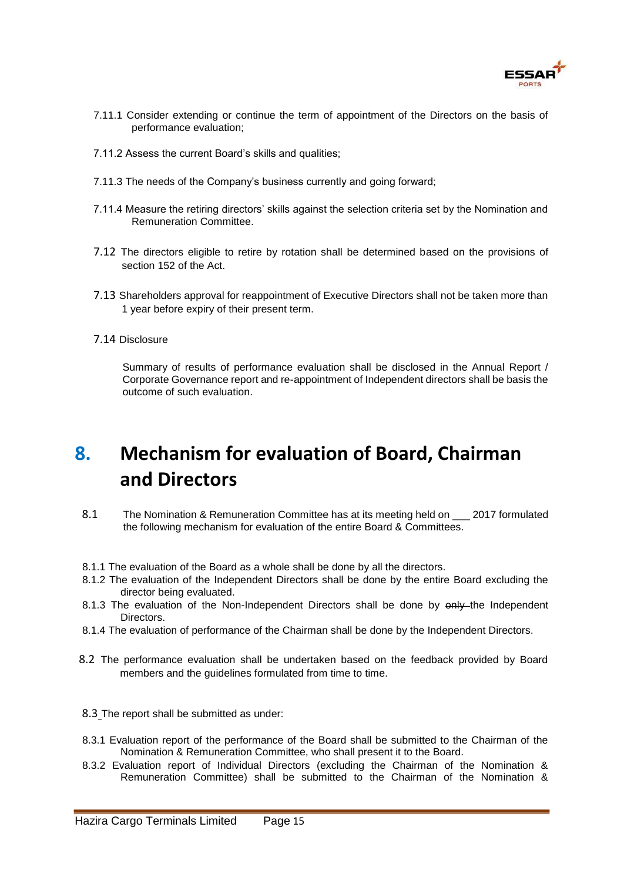

- 7.11.1 Consider extending or continue the term of appointment of the Directors on the basis of performance evaluation;
- 7.11.2 Assess the current Board's skills and qualities;
- 7.11.3 The needs of the Company's business currently and going forward;
- 7.11.4 Measure the retiring directors' skills against the selection criteria set by the Nomination and Remuneration Committee.
- 7.12 The directors eligible to retire by rotation shall be determined based on the provisions of section 152 of the Act.
- 7.13 Shareholders approval for reappointment of Executive Directors shall not be taken more than 1 year before expiry of their present term.
- 7.14 Disclosure

Summary of results of performance evaluation shall be disclosed in the Annual Report / Corporate Governance report and re-appointment of Independent directors shall be basis the outcome of such evaluation.

## **8. Mechanism for evaluation of Board, Chairman and Directors**

- 8.1 The Nomination & Remuneration Committee has at its meeting held on \_\_\_ 2017 formulated the following mechanism for evaluation of the entire Board & Committees.
- 8.1.1 The evaluation of the Board as a whole shall be done by all the directors.
- 8.1.2 The evaluation of the Independent Directors shall be done by the entire Board excluding the director being evaluated.
- 8.1.3 The evaluation of the Non-Independent Directors shall be done by only the Independent Directors.
- 8.1.4 The evaluation of performance of the Chairman shall be done by the Independent Directors.
- 8.2 The performance evaluation shall be undertaken based on the feedback provided by Board members and the guidelines formulated from time to time.
- 8.3 The report shall be submitted as under:
- 8.3.1 Evaluation report of the performance of the Board shall be submitted to the Chairman of the Nomination & Remuneration Committee, who shall present it to the Board.
- 8.3.2 Evaluation report of Individual Directors (excluding the Chairman of the Nomination & Remuneration Committee) shall be submitted to the Chairman of the Nomination &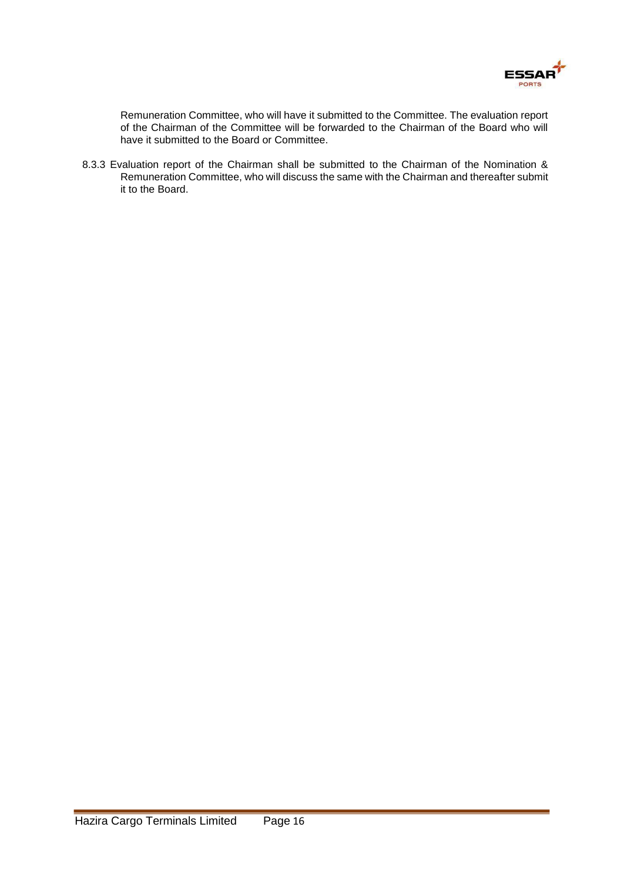

Remuneration Committee, who will have it submitted to the Committee. The evaluation report of the Chairman of the Committee will be forwarded to the Chairman of the Board who will have it submitted to the Board or Committee.

8.3.3 Evaluation report of the Chairman shall be submitted to the Chairman of the Nomination & Remuneration Committee, who will discuss the same with the Chairman and thereafter submit it to the Board.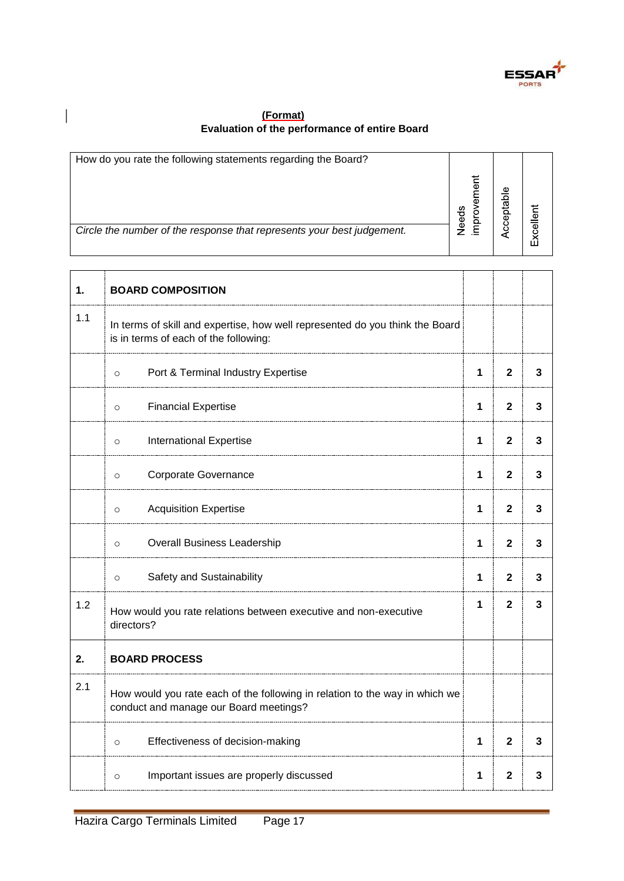

### **(Format) Evaluation of the performance of entire Board**

 $\overline{\phantom{a}}$ 

| How do you rate the following statements regarding the Board?          |           |        |       |
|------------------------------------------------------------------------|-----------|--------|-------|
|                                                                        | ৯<br>eeds | Φ<br>ā | 5     |
| Circle the number of the response that represents your best judgement. |           |        | Excel |

| 1.  | <b>BOARD COMPOSITION</b>                                                                                              |              |              |   |
|-----|-----------------------------------------------------------------------------------------------------------------------|--------------|--------------|---|
| 1.1 | In terms of skill and expertise, how well represented do you think the Board<br>is in terms of each of the following: |              |              |   |
|     | Port & Terminal Industry Expertise<br>$\circ$                                                                         | 1            | $\mathbf{2}$ | 3 |
|     | <b>Financial Expertise</b><br>$\circ$                                                                                 | 1            | $\mathbf{2}$ | 3 |
|     | <b>International Expertise</b><br>$\circ$                                                                             | 1            | $\mathbf{2}$ | 3 |
|     | Corporate Governance<br>$\circ$                                                                                       | 1            | $\mathbf{2}$ | 3 |
|     | <b>Acquisition Expertise</b><br>$\circ$                                                                               | 1            | $\mathbf{2}$ | 3 |
|     | <b>Overall Business Leadership</b><br>$\circ$                                                                         | $\mathbf{1}$ | $\mathbf{2}$ | 3 |
|     | Safety and Sustainability<br>$\circ$                                                                                  | $\mathbf{1}$ | $\mathbf{2}$ | 3 |
| 1.2 | How would you rate relations between executive and non-executive<br>directors?                                        | $\mathbf 1$  | $\mathbf{2}$ | 3 |
| 2.  | <b>BOARD PROCESS</b>                                                                                                  |              |              |   |
| 2.1 | How would you rate each of the following in relation to the way in which we<br>conduct and manage our Board meetings? |              |              |   |
|     | Effectiveness of decision-making<br>$\circ$                                                                           | 1            | $\mathbf{2}$ | 3 |
|     | Important issues are properly discussed<br>$\circ$                                                                    | 1            | 2            | 3 |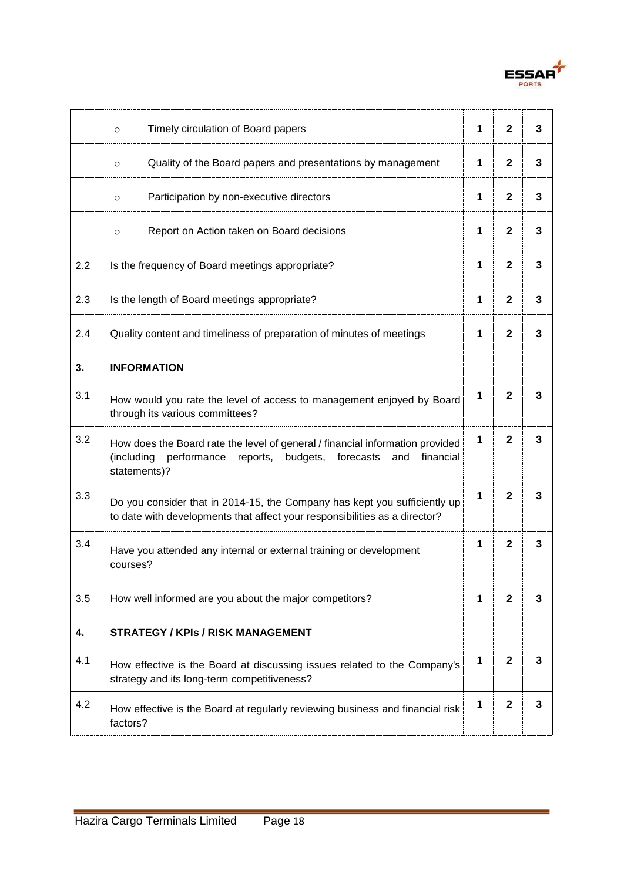

|     | Timely circulation of Board papers<br>$\circ$                                                                                                                           | 1 | $\mathbf{2}$ | 3 |
|-----|-------------------------------------------------------------------------------------------------------------------------------------------------------------------------|---|--------------|---|
|     | Quality of the Board papers and presentations by management<br>$\circ$                                                                                                  | 1 | $\mathbf{2}$ | 3 |
|     | Participation by non-executive directors<br>$\circ$                                                                                                                     | 1 | $\mathbf{2}$ | 3 |
|     | Report on Action taken on Board decisions<br>$\circ$                                                                                                                    | 1 | $\mathbf{2}$ | 3 |
| 2.2 | Is the frequency of Board meetings appropriate?                                                                                                                         | 1 | $\mathbf{2}$ | 3 |
| 2.3 | Is the length of Board meetings appropriate?                                                                                                                            | 1 | $\mathbf{2}$ | 3 |
| 2.4 | Quality content and timeliness of preparation of minutes of meetings                                                                                                    | 1 | 2            | 3 |
| 3.  | <b>INFORMATION</b>                                                                                                                                                      |   |              |   |
| 3.1 | How would you rate the level of access to management enjoyed by Board<br>through its various committees?                                                                | 1 | $\mathbf{2}$ | 3 |
| 3.2 | How does the Board rate the level of general / financial information provided<br>(including performance reports, budgets, forecasts<br>and<br>financial<br>statements)? | 1 | $\mathbf{2}$ | 3 |
| 3.3 | Do you consider that in 2014-15, the Company has kept you sufficiently up<br>to date with developments that affect your responsibilities as a director?                 | 1 | $\mathbf{2}$ | 3 |
| 3.4 | Have you attended any internal or external training or development<br>courses?                                                                                          | 1 | $\mathbf{2}$ | 3 |
| 3.5 | How well informed are you about the major competitors?                                                                                                                  | 1 | $\mathbf{2}$ | 3 |
| 4.  | <b>STRATEGY / KPIS / RISK MANAGEMENT</b>                                                                                                                                |   |              |   |
| 4.1 | How effective is the Board at discussing issues related to the Company's<br>strategy and its long-term competitiveness?                                                 | 1 | $\mathbf 2$  | 3 |
| 4.2 | How effective is the Board at regularly reviewing business and financial risk<br>factors?                                                                               | 1 | $\mathbf{2}$ | 3 |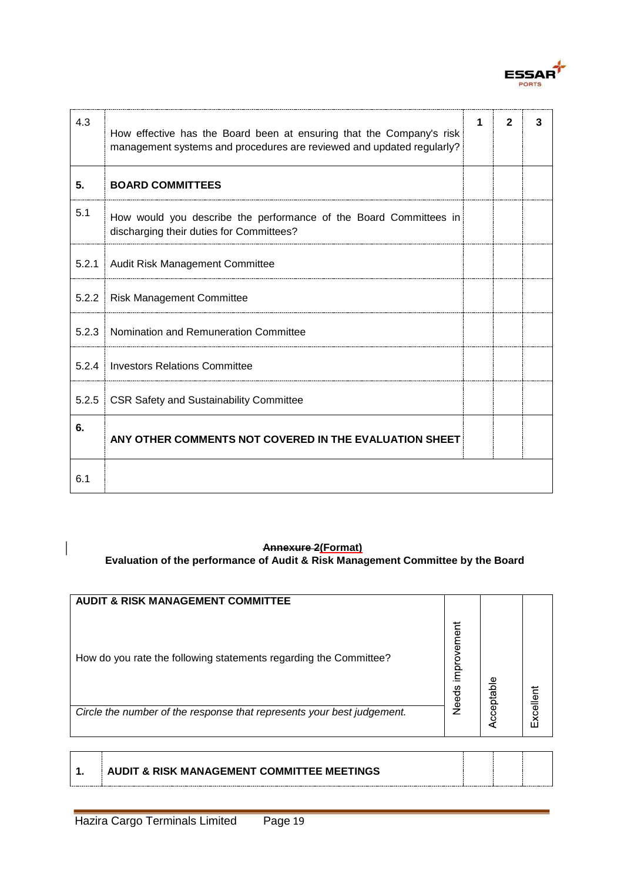

| 4.3   | How effective has the Board been at ensuring that the Company's risk<br>management systems and procedures are reviewed and updated regularly? | $\mathbf{2}$ | 3 |
|-------|-----------------------------------------------------------------------------------------------------------------------------------------------|--------------|---|
| 5.    | <b>BOARD COMMITTEES</b>                                                                                                                       |              |   |
| 5.1   | How would you describe the performance of the Board Committees in<br>discharging their duties for Committees?                                 |              |   |
| 5.2.1 | Audit Risk Management Committee                                                                                                               |              |   |
| 5.2.2 | <b>Risk Management Committee</b>                                                                                                              |              |   |
| 5.2.3 | Nomination and Remuneration Committee                                                                                                         |              |   |
| 5.2.4 | <b>Investors Relations Committee</b>                                                                                                          |              |   |
| 5.2.5 | <b>CSR Safety and Sustainability Committee</b>                                                                                                |              |   |
| 6.    | ANY OTHER COMMENTS NOT COVERED IN THE EVALUATION SHEET                                                                                        |              |   |
| 6.1   |                                                                                                                                               |              |   |

#### **Annexure 2(Format)**

**Evaluation of the performance of Audit & Risk Management Committee by the Board** 

| <b>AUDIT &amp; RISK MANAGEMENT COMMITTEE</b>                           |                      |           |                  |
|------------------------------------------------------------------------|----------------------|-----------|------------------|
| How do you rate the following statements regarding the Committee?      | improvement<br>Needs | cceptable |                  |
| Circle the number of the response that represents your best judgement. |                      |           | <b>Excellent</b> |
|                                                                        |                      |           |                  |

 $\overline{\phantom{a}}$ 

**1. AUDIT & RISK MANAGEMENT COMMITTEE MEETINGS**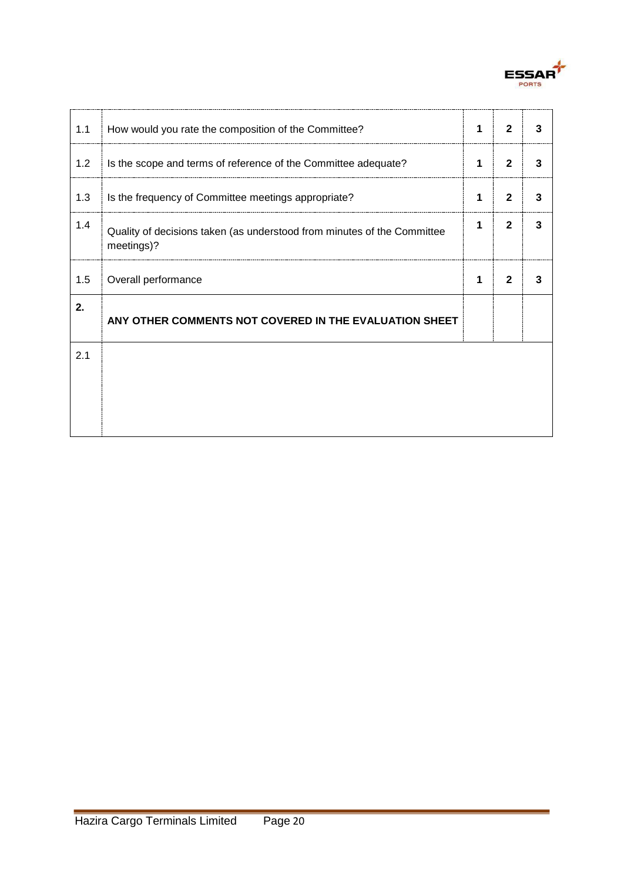

| 1.1 | How would you rate the composition of the Committee?                                  | 1 | $\mathbf{2}$ | 3 |
|-----|---------------------------------------------------------------------------------------|---|--------------|---|
| 1.2 | Is the scope and terms of reference of the Committee adequate?                        | 1 | $\mathbf{2}$ | 3 |
| 1.3 | Is the frequency of Committee meetings appropriate?                                   | 1 | $\mathbf{2}$ | 3 |
| 1.4 | Quality of decisions taken (as understood from minutes of the Committee<br>meetings)? | 1 | $\mathbf{2}$ | 3 |
| 1.5 | Overall performance                                                                   | 1 | $\mathbf{2}$ | 3 |
| 2.  | ANY OTHER COMMENTS NOT COVERED IN THE EVALUATION SHEET                                |   |              |   |
| 2.1 |                                                                                       |   |              |   |
|     |                                                                                       |   |              |   |
|     |                                                                                       |   |              |   |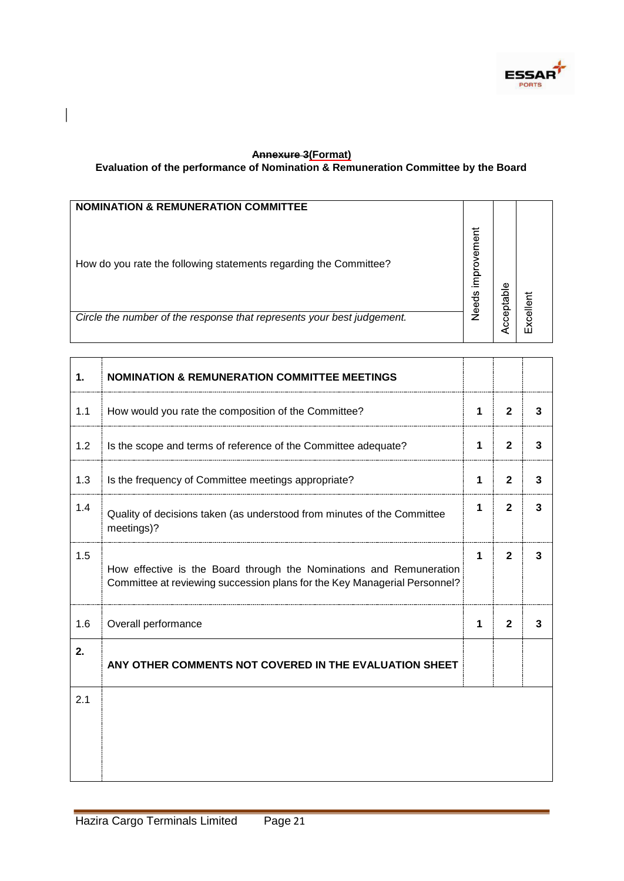

#### **Annexure 3(Format) Evaluation of the performance of Nomination & Remuneration Committee by the Board**

 $\overline{\phantom{a}}$ 

| <b>NOMINATION &amp; REMUNERATION COMMITTEE</b>                         |                      |   |  |
|------------------------------------------------------------------------|----------------------|---|--|
| How do you rate the following statements regarding the Committee?      | improvement<br>Needs | Φ |  |
| Circle the number of the response that represents your best judgement. |                      |   |  |

| 1.  | <b>NOMINATION &amp; REMUNERATION COMMITTEE MEETINGS</b>                                                                                          |             |              |   |
|-----|--------------------------------------------------------------------------------------------------------------------------------------------------|-------------|--------------|---|
| 1.1 | How would you rate the composition of the Committee?                                                                                             | $\mathbf 1$ | $\mathbf{2}$ | 3 |
| 1.2 | Is the scope and terms of reference of the Committee adequate?                                                                                   | $\mathbf 1$ | $\mathbf{2}$ | 3 |
| 1.3 | Is the frequency of Committee meetings appropriate?                                                                                              | 1           | $\mathbf{2}$ | 3 |
| 1.4 | Quality of decisions taken (as understood from minutes of the Committee<br>meetings)?                                                            | 1           | $\mathbf{2}$ | 3 |
| 1.5 | How effective is the Board through the Nominations and Remuneration<br>Committee at reviewing succession plans for the Key Managerial Personnel? | 1           | $\mathbf{2}$ | 3 |
| 1.6 | Overall performance                                                                                                                              | 1           | $\mathbf{2}$ | 3 |
| 2.  | ANY OTHER COMMENTS NOT COVERED IN THE EVALUATION SHEET                                                                                           |             |              |   |
| 2.1 |                                                                                                                                                  |             |              |   |
|     |                                                                                                                                                  |             |              |   |
|     |                                                                                                                                                  |             |              |   |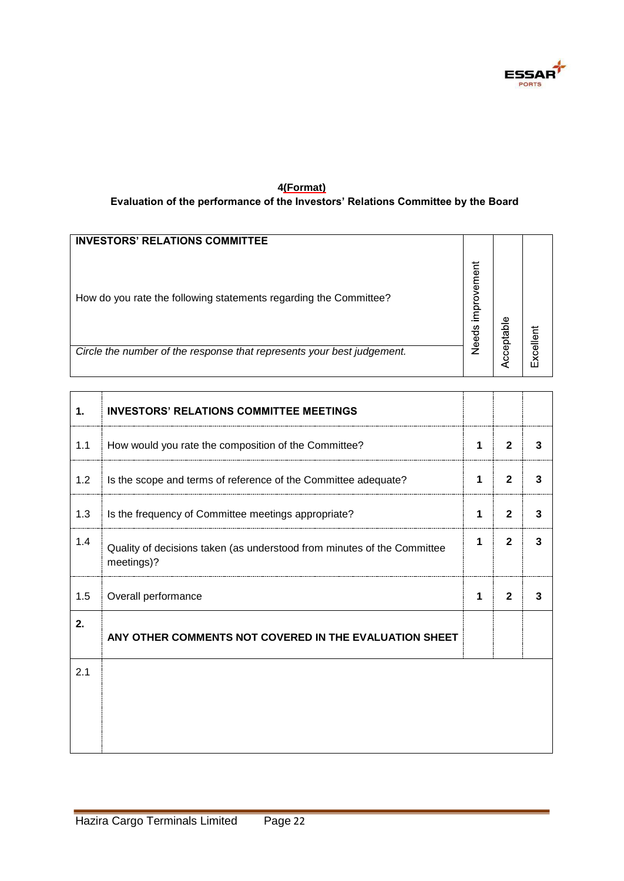

#### **4(Format) Evaluation of the performance of the Investors' Relations Committee by the Board**

| <b>INVESTORS' RELATIONS COMMITTEE</b>                                  |                             |           |           |
|------------------------------------------------------------------------|-----------------------------|-----------|-----------|
| How do you rate the following statements regarding the Committee?      | improvement<br><b>Needs</b> | cceptable |           |
| Circle the number of the response that represents your best judgement. |                             |           | Excellent |
|                                                                        |                             |           |           |

| $\mathbf 1$ | <b>INVESTORS' RELATIONS COMMITTEE MEETINGS</b>                                        |   |              |   |
|-------------|---------------------------------------------------------------------------------------|---|--------------|---|
| 1.1         | How would you rate the composition of the Committee?                                  | 1 | $\mathbf{2}$ | 3 |
| 1.2         | Is the scope and terms of reference of the Committee adequate?                        | 1 | $\mathbf{2}$ | 3 |
| 1.3         | Is the frequency of Committee meetings appropriate?                                   | 1 | $\mathbf{2}$ | 3 |
| 1.4         | Quality of decisions taken (as understood from minutes of the Committee<br>meetings)? | 1 | $\mathbf{2}$ | 3 |
| 1.5         | Overall performance                                                                   | 1 | $\mathbf{2}$ | 3 |
| 2.          | ANY OTHER COMMENTS NOT COVERED IN THE EVALUATION SHEET                                |   |              |   |
| 2.1         |                                                                                       |   |              |   |
|             |                                                                                       |   |              |   |
|             |                                                                                       |   |              |   |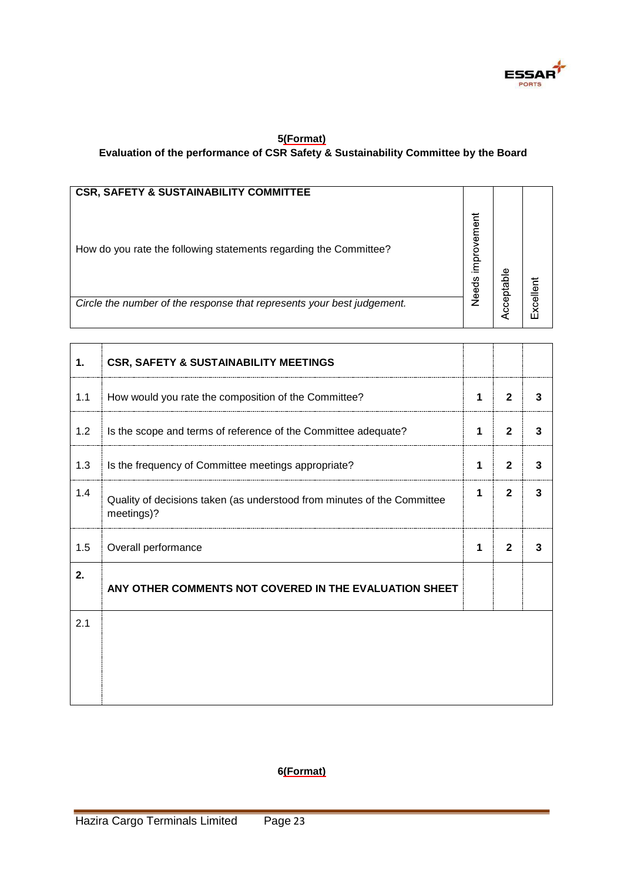

### **5(Format) Evaluation of the performance of CSR Safety & Sustainability Committee by the Board**

| <b>CSR, SAFETY &amp; SUSTAINABILITY COMMITTEE</b>                      |                      |         |
|------------------------------------------------------------------------|----------------------|---------|
| How do you rate the following statements regarding the Committee?      | improvement<br>Needs |         |
| Circle the number of the response that represents your best judgement. |                      | xcellen |

| 1.  | <b>CSR, SAFETY &amp; SUSTAINABILITY MEETINGS</b>                                      |   |              |   |
|-----|---------------------------------------------------------------------------------------|---|--------------|---|
| 1.1 | How would you rate the composition of the Committee?                                  |   | $\mathbf{2}$ | 3 |
| 1.2 | Is the scope and terms of reference of the Committee adequate?                        |   | $\mathbf{2}$ | 3 |
| 1.3 | Is the frequency of Committee meetings appropriate?                                   | 1 | $\mathbf{2}$ | 3 |
| 1.4 | Quality of decisions taken (as understood from minutes of the Committee<br>meetings)? |   | $\mathbf{2}$ | 3 |
| 1.5 | Overall performance                                                                   | 1 | $\mathbf{2}$ | 3 |
| 2.  | ANY OTHER COMMENTS NOT COVERED IN THE EVALUATION SHEET                                |   |              |   |
| 2.1 |                                                                                       |   |              |   |
|     |                                                                                       |   |              |   |
|     |                                                                                       |   |              |   |

**6(Format)**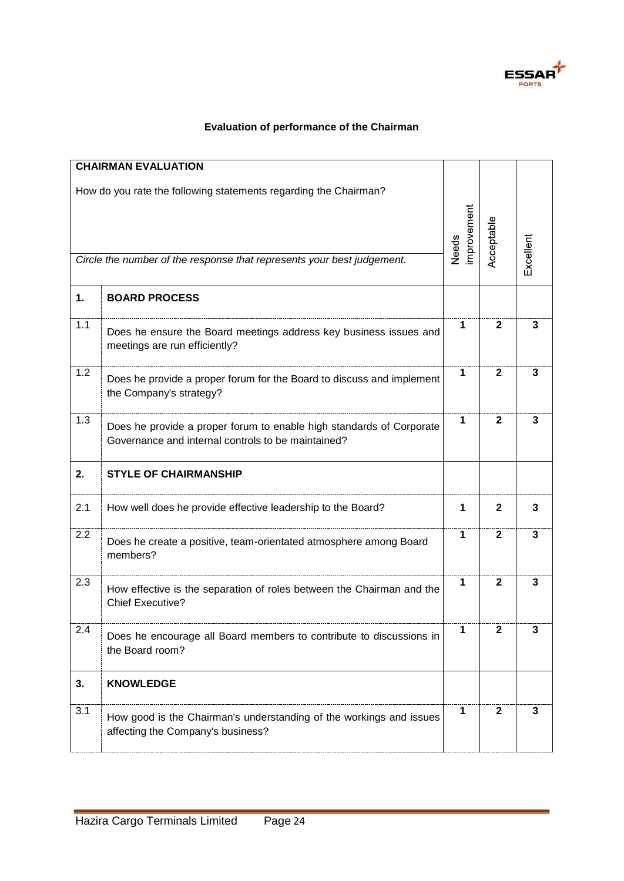

### **Evaluation of performance of the Chairman**

|                                                                                                                                            | <b>CHAIRMAN EVALUATION</b>                                                                                                 |                             |              |           |
|--------------------------------------------------------------------------------------------------------------------------------------------|----------------------------------------------------------------------------------------------------------------------------|-----------------------------|--------------|-----------|
| How do you rate the following statements regarding the Chairman?<br>Circle the number of the response that represents your best judgement. |                                                                                                                            | improvement<br><b>Needs</b> | Acceptable   | Excellent |
| 1.                                                                                                                                         | <b>BOARD PROCESS</b>                                                                                                       |                             |              |           |
| 1.1                                                                                                                                        | Does he ensure the Board meetings address key business issues and<br>meetings are run efficiently?                         | 1                           | $\mathbf{2}$ | 3         |
| 1.2                                                                                                                                        | Does he provide a proper forum for the Board to discuss and implement<br>the Company's strategy?                           | 1                           | $\mathbf{2}$ | 3         |
| 1.3                                                                                                                                        | Does he provide a proper forum to enable high standards of Corporate<br>Governance and internal controls to be maintained? | 1                           | 2            | 3         |
| 2.                                                                                                                                         | <b>STYLE OF CHAIRMANSHIP</b>                                                                                               |                             |              |           |
| 2.1                                                                                                                                        | How well does he provide effective leadership to the Board?                                                                | 1                           | $\mathbf{2}$ | 3         |
| 2.2                                                                                                                                        | Does he create a positive, team-orientated atmosphere among Board<br>members?                                              | 1                           | $\mathbf{2}$ | 3         |
| 2.3                                                                                                                                        | How effective is the separation of roles between the Chairman and the<br><b>Chief Executive?</b>                           | 1                           | $\mathbf{2}$ | 3         |
| 2.4                                                                                                                                        | Does he encourage all Board members to contribute to discussions in<br>the Board room?                                     | 1                           | $\mathbf{2}$ | 3         |
| 3.                                                                                                                                         | <b>KNOWLEDGE</b>                                                                                                           |                             |              |           |
| 3.1                                                                                                                                        | How good is the Chairman's understanding of the workings and issues<br>affecting the Company's business?                   | 1                           | $\mathbf{2}$ | 3         |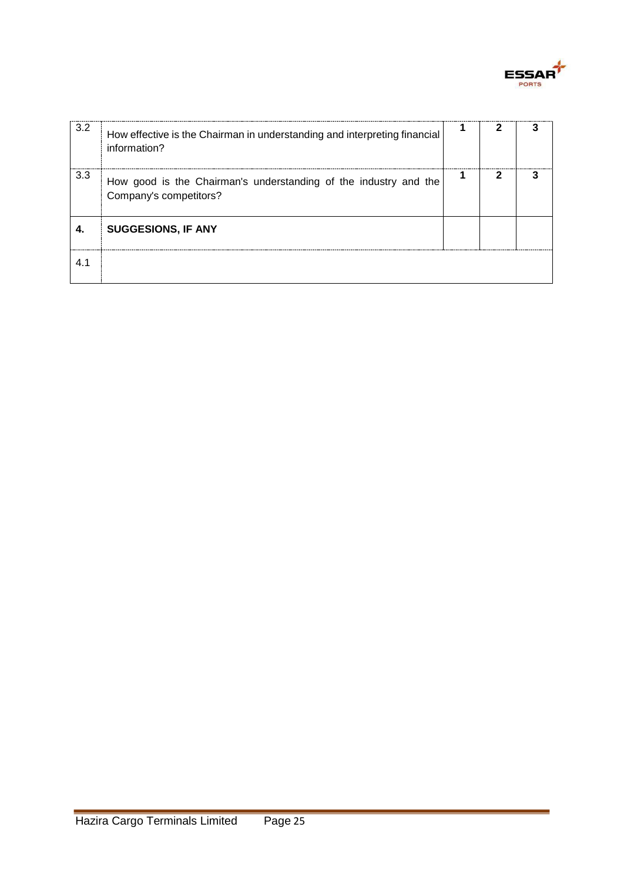

| 3.2 | How effective is the Chairman in understanding and interpreting financial<br>information?  |  |  |
|-----|--------------------------------------------------------------------------------------------|--|--|
| 3.3 | How good is the Chairman's understanding of the industry and the<br>Company's competitors? |  |  |
| 4.  | <b>SUGGESIONS, IF ANY</b>                                                                  |  |  |
|     |                                                                                            |  |  |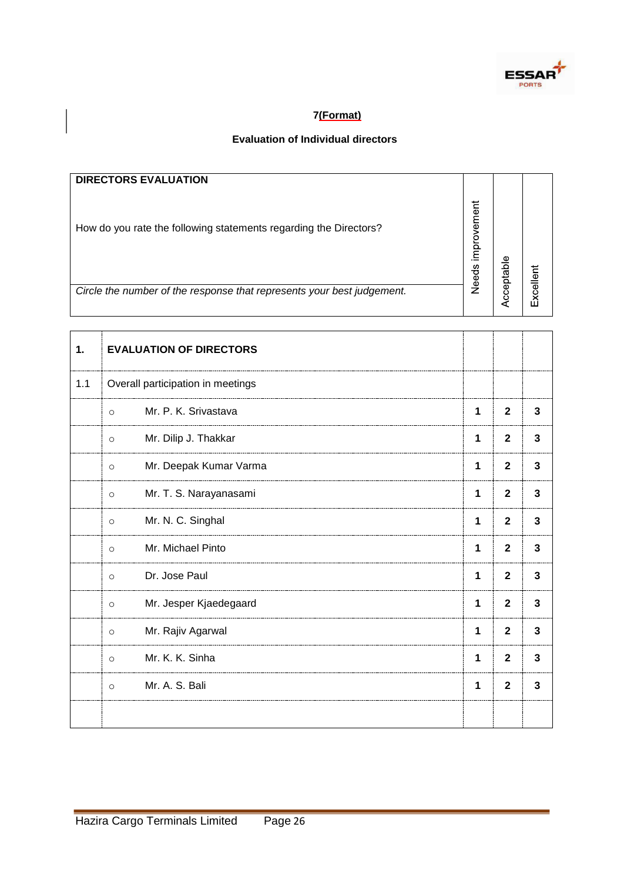

### **7(Format)**

### **Evaluation of Individual directors**

| <b>DIRECTORS EVALUATION</b>                                            |                      |           |               |
|------------------------------------------------------------------------|----------------------|-----------|---------------|
| How do you rate the following statements regarding the Directors?      | improvement<br>Needs | cceptable |               |
| Circle the number of the response that represents your best judgement. |                      |           | $\times$ cell |

| 1.  | <b>EVALUATION OF DIRECTORS</b>    |              |                |                |
|-----|-----------------------------------|--------------|----------------|----------------|
| 1.1 | Overall participation in meetings |              |                |                |
|     | Mr. P. K. Srivastava<br>$\circ$   | $\mathbf 1$  | $\overline{2}$ | 3              |
|     | Mr. Dilip J. Thakkar<br>$\circ$   | 1            | $\overline{2}$ | $\overline{3}$ |
|     | Mr. Deepak Kumar Varma<br>$\circ$ | 1            | $\overline{2}$ | 3              |
|     | Mr. T. S. Narayanasami<br>$\circ$ | $\mathbf{1}$ | $\mathbf{2}$   | $\mathbf{3}$   |
|     | Mr. N. C. Singhal<br>$\circ$      | 1            | $\overline{2}$ | 3              |
|     | Mr. Michael Pinto<br>$\circ$      | 1            | $\overline{2}$ | 3              |
|     | Dr. Jose Paul<br>$\circ$          | $\mathbf 1$  | $\mathbf{2}$   | 3              |
|     | Mr. Jesper Kjaedegaard<br>$\circ$ | 1            | $\overline{2}$ | 3              |
|     | Mr. Rajiv Agarwal<br>$\circ$      | 1            | $\overline{2}$ | $\overline{3}$ |
|     | Mr. K. K. Sinha<br>$\circ$        | 1            | $\overline{2}$ | 3              |
|     | Mr. A. S. Bali<br>$\circ$         | 1            | $\mathbf{2}$   | 3              |
|     |                                   |              |                |                |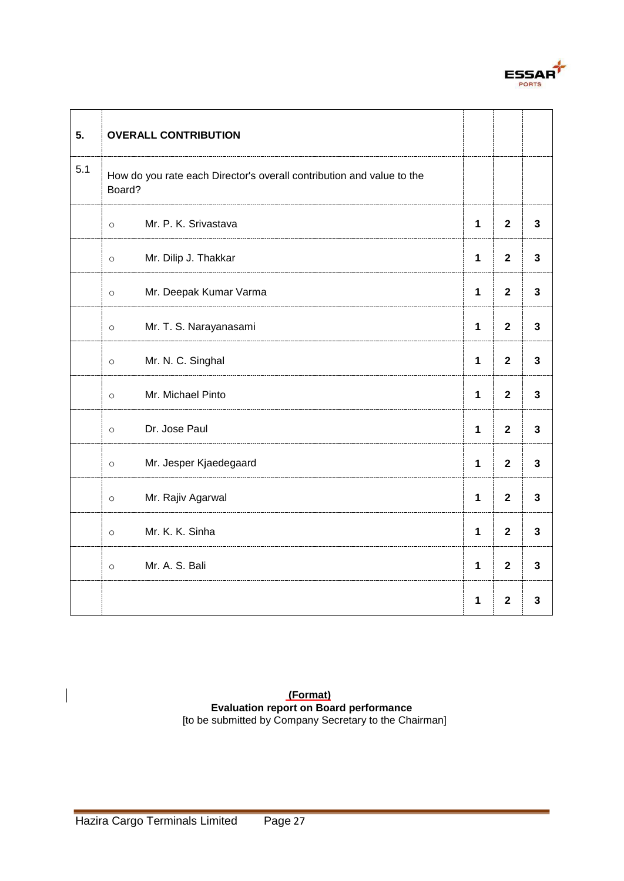

| 5.  | <b>OVERALL CONTRIBUTION</b>                                                     |              |                |              |
|-----|---------------------------------------------------------------------------------|--------------|----------------|--------------|
| 5.1 | How do you rate each Director's overall contribution and value to the<br>Board? |              |                |              |
|     | Mr. P. K. Srivastava<br>$\circ$                                                 |              | $\mathbf{2}$   | $\mathbf{3}$ |
|     | Mr. Dilip J. Thakkar<br>$\circ$                                                 | $\mathbf{1}$ | $\mathbf{2}$   | $\mathbf{3}$ |
|     | Mr. Deepak Kumar Varma<br>$\circ$                                               | $\mathbf{1}$ | $\mathbf{2}$   | $\mathbf{3}$ |
|     | Mr. T. S. Narayanasami<br>$\circ$                                               | $\mathbf{1}$ | $\mathbf{2}$   | 3            |
|     | Mr. N. C. Singhal<br>$\circ$                                                    | $\mathbf{1}$ | $\mathbf{2}$   | 3            |
|     | Mr. Michael Pinto<br>$\circ$                                                    | $\mathbf{1}$ | $\mathbf{2}$   | 3            |
|     | Dr. Jose Paul<br>$\circ$                                                        | $\mathbf{1}$ | $\overline{2}$ | $\mathbf{3}$ |
|     | Mr. Jesper Kjaedegaard<br>$\circ$                                               | $\mathbf{1}$ | $\mathbf{2}$   | 3            |
|     | Mr. Rajiv Agarwal<br>$\circ$                                                    | $\mathbf{1}$ | $\mathbf{2}$   | $\mathbf{3}$ |
|     | Mr. K. K. Sinha<br>$\circ$                                                      | $\mathbf{1}$ | $\mathbf{2}$   | 3            |
|     | Mr. A. S. Bali<br>$\circ$                                                       | $\mathbf{1}$ | $\overline{2}$ | $\mathbf{3}$ |
|     |                                                                                 | $\mathbf{1}$ | $\mathbf{2}$   | 3            |

**(Format) Evaluation report on Board performance**  [to be submitted by Company Secretary to the Chairman]

 $\overline{\phantom{a}}$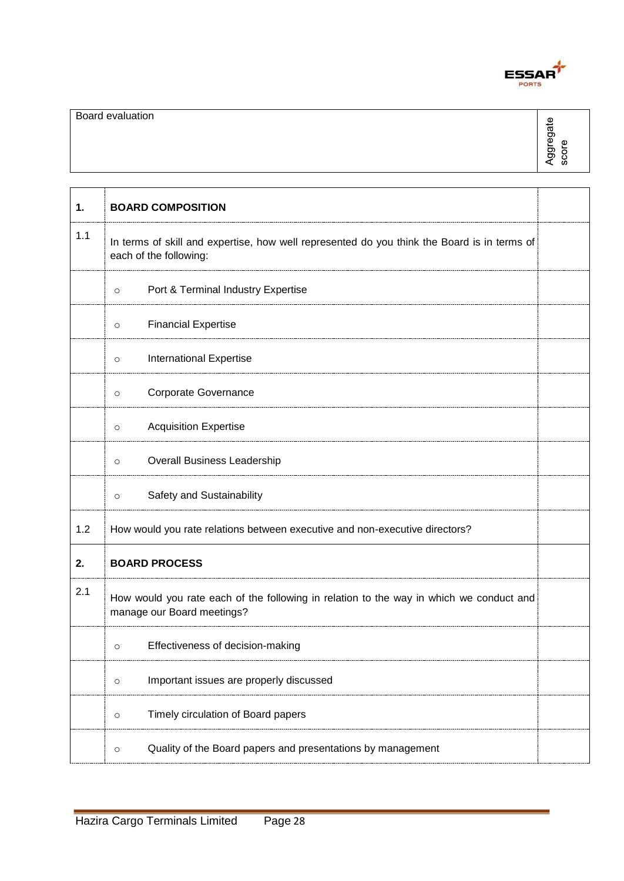

| 1.  | <b>BOARD COMPOSITION</b>                                                                                              |  |
|-----|-----------------------------------------------------------------------------------------------------------------------|--|
| 1.1 | In terms of skill and expertise, how well represented do you think the Board is in terms of<br>each of the following: |  |
|     | Port & Terminal Industry Expertise<br>$\circ$                                                                         |  |
|     | <b>Financial Expertise</b><br>$\circ$                                                                                 |  |
|     | International Expertise<br>$\circ$                                                                                    |  |
|     | Corporate Governance<br>$\circ$                                                                                       |  |
|     | <b>Acquisition Expertise</b><br>$\circ$                                                                               |  |
|     | <b>Overall Business Leadership</b><br>$\circ$                                                                         |  |
|     | Safety and Sustainability<br>$\circ$                                                                                  |  |
| 1.2 | How would you rate relations between executive and non-executive directors?                                           |  |
| 2.  | <b>BOARD PROCESS</b>                                                                                                  |  |
| 2.1 | How would you rate each of the following in relation to the way in which we conduct and<br>manage our Board meetings? |  |
|     | Effectiveness of decision-making<br>$\circ$                                                                           |  |
|     | Important issues are properly discussed<br>$\circ$                                                                    |  |
|     | Timely circulation of Board papers<br>$\circ$                                                                         |  |
|     | Quality of the Board papers and presentations by management<br>$\circ$                                                |  |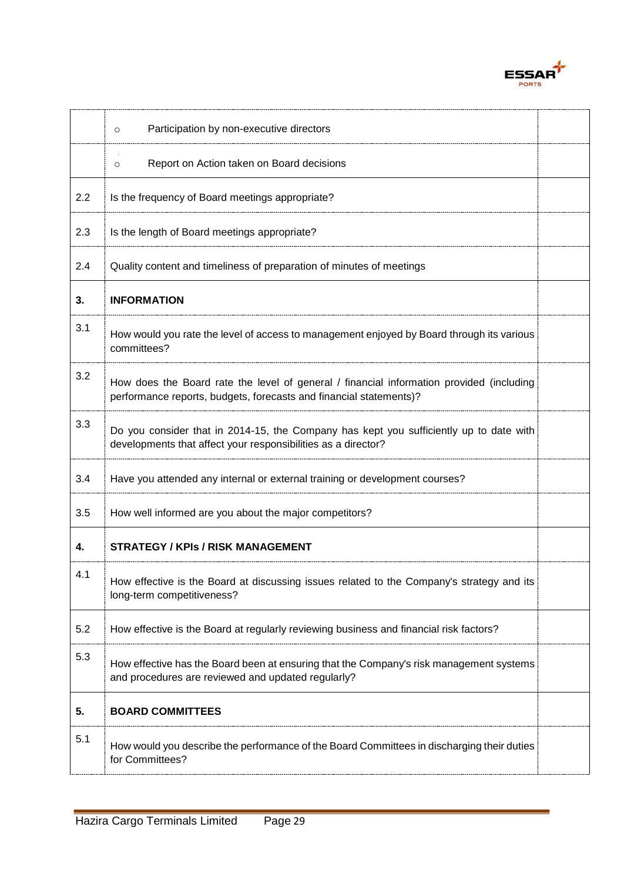

|     | Participation by non-executive directors<br>$\circ$                                                                                                            |  |
|-----|----------------------------------------------------------------------------------------------------------------------------------------------------------------|--|
|     | Report on Action taken on Board decisions<br>$\circ$                                                                                                           |  |
| 2.2 | Is the frequency of Board meetings appropriate?                                                                                                                |  |
| 2.3 | Is the length of Board meetings appropriate?                                                                                                                   |  |
| 2.4 | Quality content and timeliness of preparation of minutes of meetings                                                                                           |  |
| 3.  | <b>INFORMATION</b>                                                                                                                                             |  |
| 3.1 | How would you rate the level of access to management enjoyed by Board through its various<br>committees?                                                       |  |
| 3.2 | How does the Board rate the level of general / financial information provided (including<br>performance reports, budgets, forecasts and financial statements)? |  |
| 3.3 | Do you consider that in 2014-15, the Company has kept you sufficiently up to date with<br>developments that affect your responsibilities as a director?        |  |
| 3.4 | Have you attended any internal or external training or development courses?                                                                                    |  |
| 3.5 | How well informed are you about the major competitors?                                                                                                         |  |
| 4.  | <b>STRATEGY / KPIs / RISK MANAGEMENT</b>                                                                                                                       |  |
| 4.1 | How effective is the Board at discussing issues related to the Company's strategy and its<br>long-term competitiveness?                                        |  |
| 5.2 | How effective is the Board at regularly reviewing business and financial risk factors?                                                                         |  |
| 5.3 | How effective has the Board been at ensuring that the Company's risk management systems<br>and procedures are reviewed and updated regularly?                  |  |
| 5.  | <b>BOARD COMMITTEES</b>                                                                                                                                        |  |
| 5.1 | How would you describe the performance of the Board Committees in discharging their duties<br>for Committees?                                                  |  |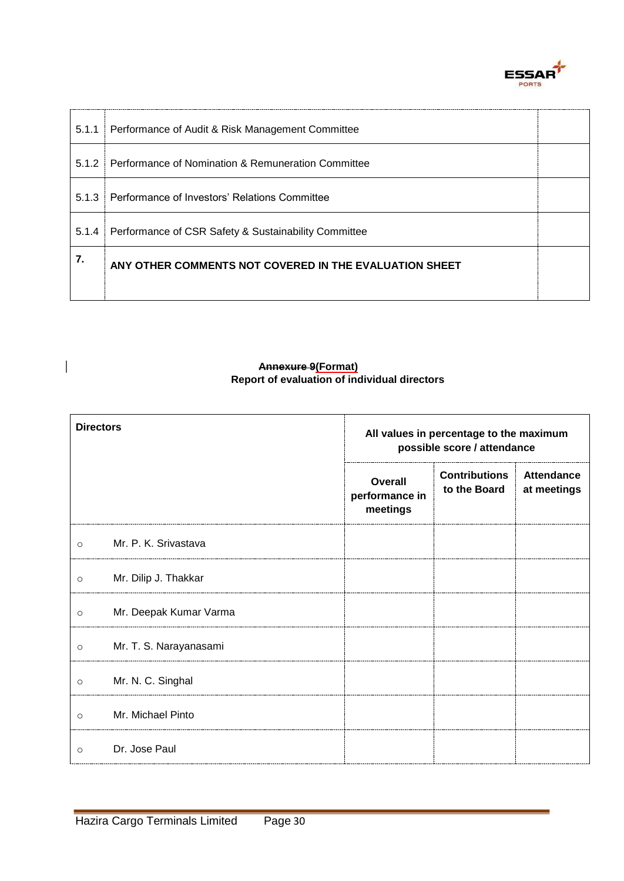

| 5.1.1 | Performance of Audit & Risk Management Committee       |  |
|-------|--------------------------------------------------------|--|
| 5.1.2 | Performance of Nomination & Remuneration Committee     |  |
| 5.1.3 | Performance of Investors' Relations Committee          |  |
| 5.1.4 | Performance of CSR Safety & Sustainability Committee   |  |
| 7.    | ANY OTHER COMMENTS NOT COVERED IN THE EVALUATION SHEET |  |
|       |                                                        |  |

#### **Annexure 9(Format) Report of evaluation of individual directors**

| <b>Directors</b> |                        | All values in percentage to the maximum<br>possible score / attendance |                                      |                                  |
|------------------|------------------------|------------------------------------------------------------------------|--------------------------------------|----------------------------------|
|                  |                        | <b>Overall</b><br>performance in<br>meetings                           | <b>Contributions</b><br>to the Board | <b>Attendance</b><br>at meetings |
| $\circ$          | Mr. P. K. Srivastava   |                                                                        |                                      |                                  |
| $\circ$          | Mr. Dilip J. Thakkar   |                                                                        |                                      |                                  |
| $\circ$          | Mr. Deepak Kumar Varma |                                                                        |                                      |                                  |
| $\circ$          | Mr. T. S. Narayanasami |                                                                        |                                      |                                  |
| $\circ$          | Mr. N. C. Singhal      |                                                                        |                                      |                                  |
| $\circ$          | Mr. Michael Pinto      |                                                                        |                                      |                                  |
| $\Omega$         | Dr. Jose Paul          |                                                                        |                                      |                                  |

 $\begin{array}{c} \rule{0pt}{2ex} \rule{0pt}{2ex} \rule{0pt}{2ex} \rule{0pt}{2ex} \rule{0pt}{2ex} \rule{0pt}{2ex} \rule{0pt}{2ex} \rule{0pt}{2ex} \rule{0pt}{2ex} \rule{0pt}{2ex} \rule{0pt}{2ex} \rule{0pt}{2ex} \rule{0pt}{2ex} \rule{0pt}{2ex} \rule{0pt}{2ex} \rule{0pt}{2ex} \rule{0pt}{2ex} \rule{0pt}{2ex} \rule{0pt}{2ex} \rule{0pt}{2ex} \rule{0pt}{2ex} \rule{0pt}{2ex} \rule{0pt}{2ex} \rule{0pt}{$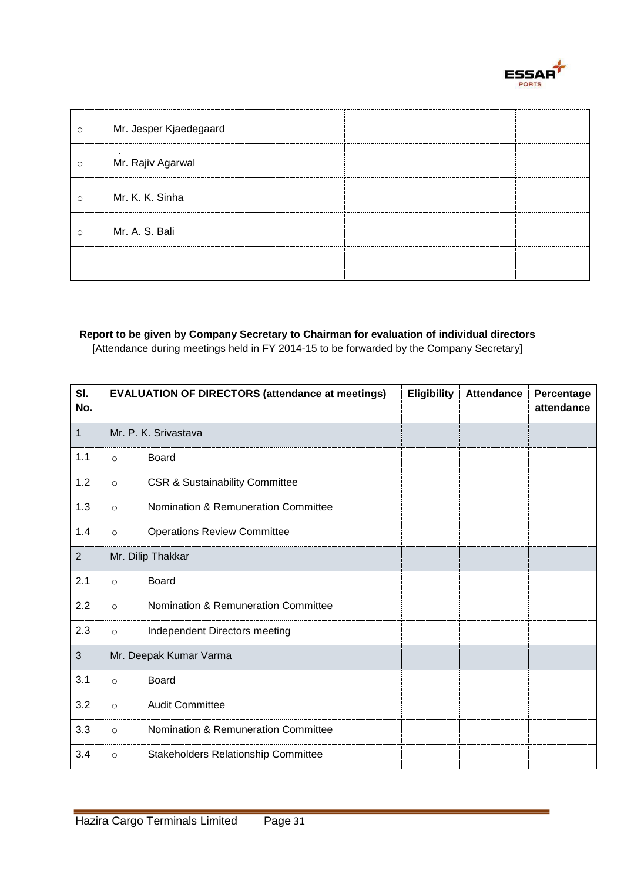

| $\circ$ | Mr. Jesper Kjaedegaard |                      |  |
|---------|------------------------|----------------------|--|
| $\circ$ | Mr. Rajiv Agarwal      | ---------------      |  |
| $\circ$ | Mr. K. K. Sinha        | -------------------- |  |
| $\circ$ | Mr. A. S. Bali         |                      |  |
|         |                        |                      |  |

### **Report to be given by Company Secretary to Chairman for evaluation of individual directors**

[Attendance during meetings held in FY 2014-15 to be forwarded by the Company Secretary]

| SI.<br>No. |                        | <b>EVALUATION OF DIRECTORS (attendance at meetings)</b> | Eligibility | <b>Attendance</b> | Percentage<br>attendance |
|------------|------------------------|---------------------------------------------------------|-------------|-------------------|--------------------------|
| 1          |                        | Mr. P. K. Srivastava                                    |             |                   |                          |
| 1.1        | $\circ$                | Board                                                   |             |                   |                          |
| 1.2        | $\circ$                | <b>CSR &amp; Sustainability Committee</b>               |             |                   |                          |
| 1.3        | $\circ$                | Nomination & Remuneration Committee                     |             |                   |                          |
| 1.4        | $\circ$                | <b>Operations Review Committee</b>                      |             |                   |                          |
| 2          |                        | Mr. Dilip Thakkar                                       |             |                   |                          |
| 2.1        | $\circ$                | <b>Board</b>                                            |             |                   |                          |
| 2.2        | $\Omega$               | Nomination & Remuneration Committee                     |             |                   |                          |
| 2.3        | $\circ$                | Independent Directors meeting                           |             |                   |                          |
| 3          | Mr. Deepak Kumar Varma |                                                         |             |                   |                          |
| 3.1        | $\circ$                | <b>Board</b>                                            |             |                   |                          |
| 3.2        | $\circ$                | <b>Audit Committee</b>                                  |             |                   |                          |
| 3.3        | $\circ$                | Nomination & Remuneration Committee                     |             |                   |                          |
| 3.4        | $\circ$                | <b>Stakeholders Relationship Committee</b>              |             |                   |                          |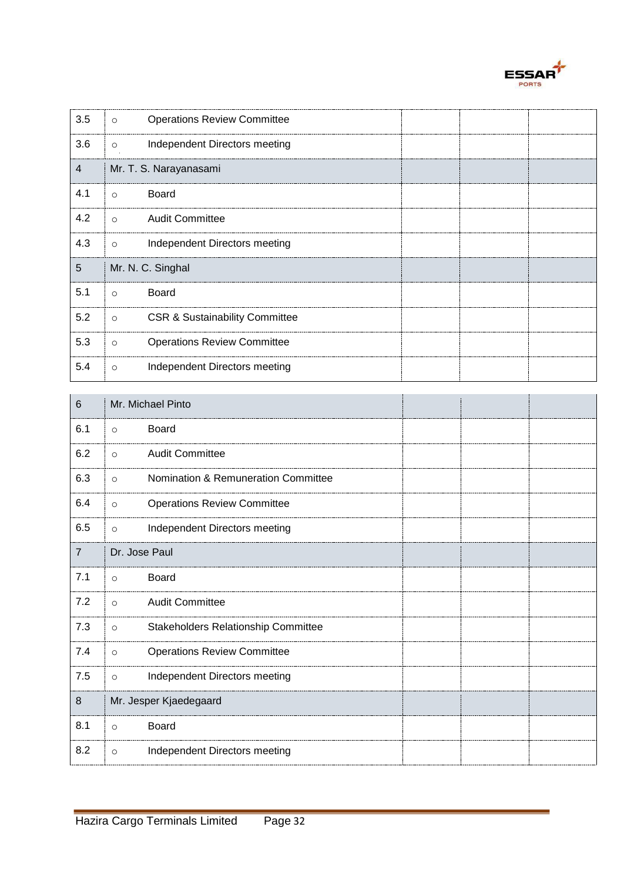

| 3.5 | $\circ$  | <b>Operations Review Committee</b>        |  |  |
|-----|----------|-------------------------------------------|--|--|
| 3.6 | $\circ$  | Independent Directors meeting             |  |  |
| 4   |          | Mr. T. S. Narayanasami                    |  |  |
| 4.1 | $\Omega$ | Board                                     |  |  |
| 4.2 | $\circ$  | <b>Audit Committee</b>                    |  |  |
| 4.3 | $\circ$  | Independent Directors meeting             |  |  |
| 5   |          | Mr. N. C. Singhal                         |  |  |
| 5.1 | $\circ$  | Board                                     |  |  |
| 5.2 | $\circ$  | <b>CSR &amp; Sustainability Committee</b> |  |  |
| 5.3 | $\circ$  | <b>Operations Review Committee</b>        |  |  |
| 5.4 | $\circ$  | Independent Directors meeting             |  |  |

| 6              | Mr. Michael Pinto                              |  |  |
|----------------|------------------------------------------------|--|--|
| 6.1            | <b>Board</b><br>$\circ$                        |  |  |
| 6.2            | <b>Audit Committee</b><br>$\circ$              |  |  |
| 6.3            | Nomination & Remuneration Committee<br>$\circ$ |  |  |
| 6.4            | <b>Operations Review Committee</b><br>$\circ$  |  |  |
| 6.5            | Independent Directors meeting<br>$\circ$       |  |  |
| $\overline{7}$ | Dr. Jose Paul                                  |  |  |
| 7.1            | <b>Board</b><br>$\circ$                        |  |  |
| 7.2            | <b>Audit Committee</b><br>$\circ$              |  |  |
| 7.3            | Stakeholders Relationship Committee<br>$\circ$ |  |  |
| 7.4            | <b>Operations Review Committee</b><br>$\circ$  |  |  |
| 7.5            | Independent Directors meeting<br>$\circ$       |  |  |
| 8              | Mr. Jesper Kjaedegaard                         |  |  |
| 8.1            | Board<br>$\circ$                               |  |  |
| 8.2            | Independent Directors meeting<br>$\circ$       |  |  |